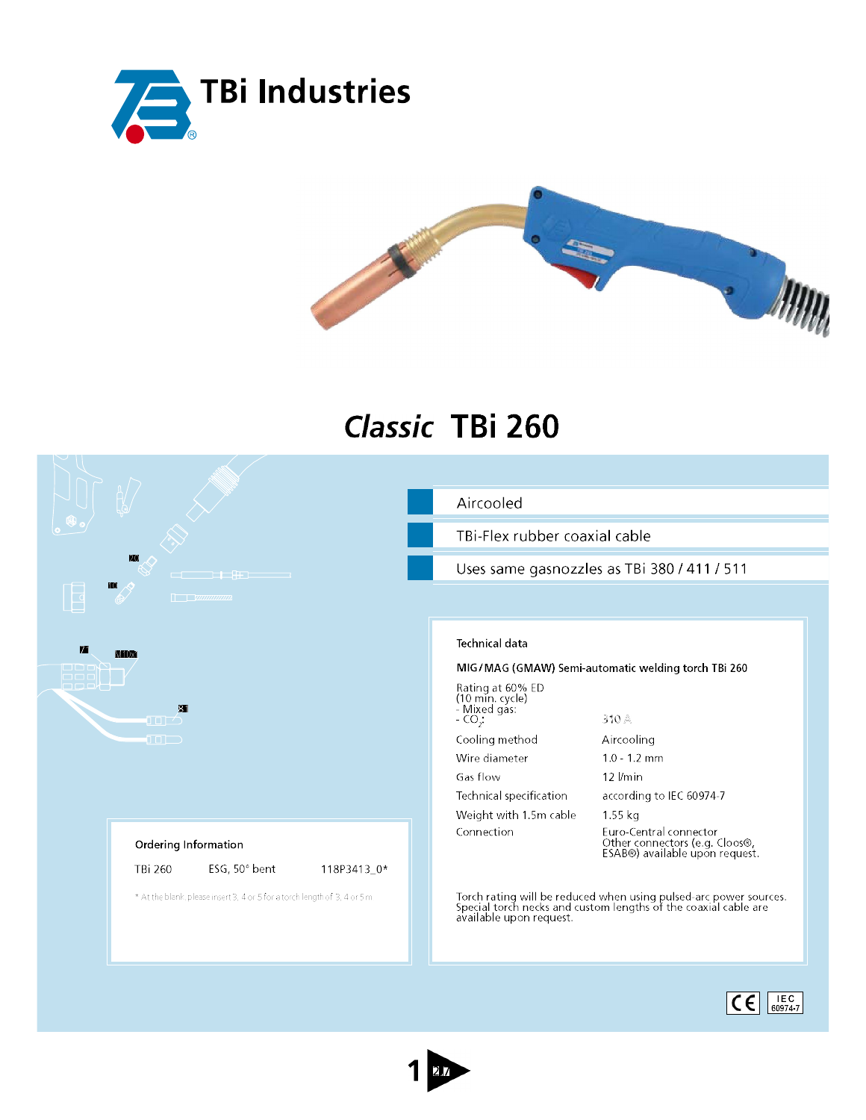



## Classic TBi 260